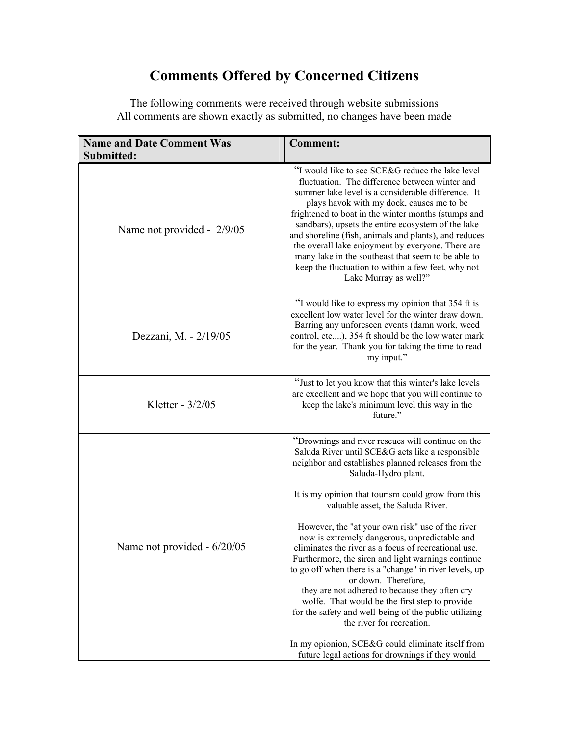## **Comments Offered by Concerned Citizens**

| <b>Name and Date Comment Was</b> | <b>Comment:</b>                                                                                                                                                                                                                                                                                                                                                                                                                                                                                                                                                                                                                                                                                                                                                                                                                                                                     |
|----------------------------------|-------------------------------------------------------------------------------------------------------------------------------------------------------------------------------------------------------------------------------------------------------------------------------------------------------------------------------------------------------------------------------------------------------------------------------------------------------------------------------------------------------------------------------------------------------------------------------------------------------------------------------------------------------------------------------------------------------------------------------------------------------------------------------------------------------------------------------------------------------------------------------------|
| Submitted:                       |                                                                                                                                                                                                                                                                                                                                                                                                                                                                                                                                                                                                                                                                                                                                                                                                                                                                                     |
| Name not provided - 2/9/05       | "I would like to see SCE&G reduce the lake level"<br>fluctuation. The difference between winter and<br>summer lake level is a considerable difference. It<br>plays havok with my dock, causes me to be<br>frightened to boat in the winter months (stumps and<br>sandbars), upsets the entire ecosystem of the lake<br>and shoreline (fish, animals and plants), and reduces<br>the overall lake enjoyment by everyone. There are<br>many lake in the southeast that seem to be able to<br>keep the fluctuation to within a few feet, why not<br>Lake Murray as well?"                                                                                                                                                                                                                                                                                                              |
| Dezzani, M. - 2/19/05            | "I would like to express my opinion that 354 ft is<br>excellent low water level for the winter draw down.<br>Barring any unforeseen events (damn work, weed<br>control, etc), 354 ft should be the low water mark<br>for the year. Thank you for taking the time to read<br>my input."                                                                                                                                                                                                                                                                                                                                                                                                                                                                                                                                                                                              |
| Kletter - 3/2/05                 | "Just to let you know that this winter's lake levels<br>are excellent and we hope that you will continue to<br>keep the lake's minimum level this way in the<br>future."                                                                                                                                                                                                                                                                                                                                                                                                                                                                                                                                                                                                                                                                                                            |
| Name not provided - 6/20/05      | "Drownings and river rescues will continue on the<br>Saluda River until SCE&G acts like a responsible<br>neighbor and establishes planned releases from the<br>Saluda-Hydro plant.<br>It is my opinion that tourism could grow from this<br>valuable asset, the Saluda River.<br>However, the "at your own risk" use of the river<br>now is extremely dangerous, unpredictable and<br>eliminates the river as a focus of recreational use<br>Furthermore, the siren and light warnings continue<br>to go off when there is a "change" in river levels, up<br>or down. Therefore,<br>they are not adhered to because they often cry<br>wolfe. That would be the first step to provide<br>for the safety and well-being of the public utilizing<br>the river for recreation.<br>In my opionion, SCE&G could eliminate itself from<br>future legal actions for drownings if they would |

The following comments were received through website submissions All comments are shown exactly as submitted, no changes have been made